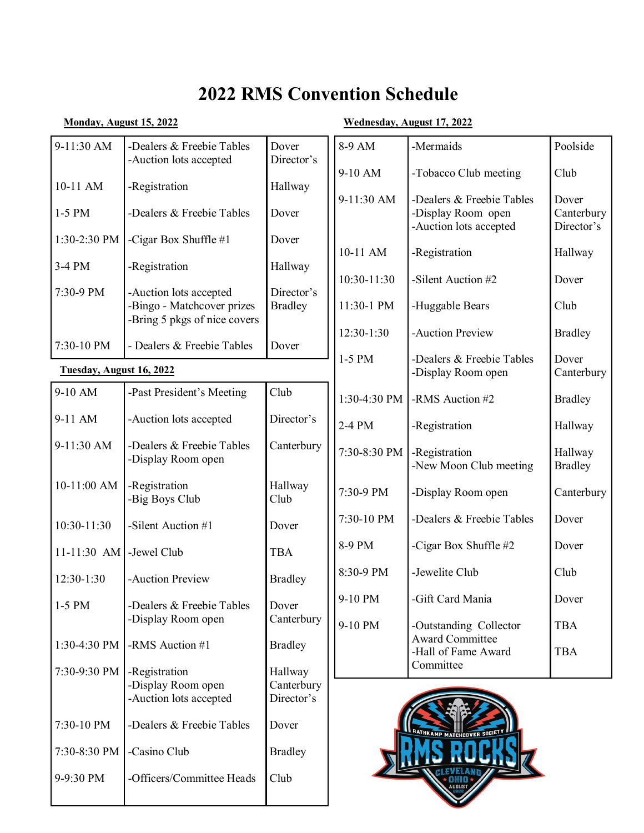# **2022 RMS Convention Schedule**

## **Monday, August 15, 2022 Wednesday, August 17, 2022**

| 9-11:30 AM               | -Dealers & Freebie Tables<br>-Auction lots accepted        | Dover<br>Director's   | 8-9 AM       | -Mermaids                                                                 | Poolside                          |
|--------------------------|------------------------------------------------------------|-----------------------|--------------|---------------------------------------------------------------------------|-----------------------------------|
| 10-11 AM                 | -Registration                                              | Hallway               | 9-10 AM      | -Tobacco Club meeting                                                     | Club                              |
| 1-5 PM                   | -Dealers & Freebie Tables                                  | Dover                 | 9-11:30 AM   | -Dealers & Freebie Tables<br>-Display Room open<br>-Auction lots accepted | Dover<br>Canterbury<br>Director's |
| 1:30-2:30 PM             | -Cigar Box Shuffle #1                                      | Dover                 |              |                                                                           |                                   |
| 3-4 PM                   | -Registration                                              | Hallway               | 10-11 AM     | -Registration                                                             | Hallway                           |
| 7:30-9 PM                | -Auction lots accepted                                     | Director's            | 10:30-11:30  | -Silent Auction #2                                                        | Dover                             |
|                          | -Bingo - Matchcover prizes<br>-Bring 5 pkgs of nice covers | <b>Bradley</b>        | 11:30-1 PM   | -Huggable Bears                                                           | Club                              |
| 7:30-10 PM               | - Dealers & Freebie Tables                                 | Dover                 | 12:30-1:30   | -Auction Preview                                                          | <b>Bradley</b>                    |
| Tuesday, August 16, 2022 |                                                            |                       | $1-5$ PM     | -Dealers & Freebie Tables<br>-Display Room open                           | Dover<br>Canterbury               |
| 9-10 AM                  | -Past President's Meeting                                  | Club                  | 1:30-4:30 PM | -RMS Auction #2                                                           | <b>Bradley</b>                    |
| 9-11 AM                  | -Auction lots accepted                                     | Director's            | 2-4 PM       | -Registration                                                             | Hallway                           |
| 9-11:30 AM               | -Dealers & Freebie Tables<br>-Display Room open            | Canterbury            | 7:30-8:30 PM | -Registration<br>-New Moon Club meeting                                   | Hallway<br><b>Bradley</b>         |
| 10-11:00 AM              | -Registration<br>-Big Boys Club                            | Hallway<br>Club       | 7:30-9 PM    | -Display Room open                                                        | Canterbury                        |
| 10:30-11:30              | -Silent Auction #1                                         | Dover                 | 7:30-10 PM   | -Dealers & Freebie Tables                                                 | Dover                             |
| $11 - 11:30$ AM          | -Jewel Club                                                | <b>TBA</b>            | 8-9 PM       | -Cigar Box Shuffle #2                                                     | Dover                             |
| 12:30-1:30               | -Auction Preview                                           | <b>Bradley</b>        | 8:30-9 PM    | -Jewelite Club                                                            | Club                              |
| $1-5$ PM                 | -Dealers & Freebie Tables                                  | Dover                 | 9-10 PM      | -Gift Card Mania                                                          | Dover                             |
|                          | -Display Room open                                         | Canterbury            | 9-10 PM      | -Outstanding Collector                                                    | <b>TBA</b>                        |
| 1:30-4:30 PM             | -RMS Auction #1                                            | <b>Bradley</b>        |              | <b>Award Committee</b><br>-Hall of Fame Award                             | <b>TBA</b>                        |
| 7:30-9:30 PM             | -Registration<br>-Display Room open                        | Hallway<br>Canterbury |              | Committee                                                                 |                                   |
|                          | -Auction lots accepted                                     | Director's            |              |                                                                           |                                   |
| 7:30-10 PM               | -Dealers & Freebie Tables                                  | Dover                 |              | RATHKAMP MATCHCOVER SOCIET                                                |                                   |
| 7:30-8:30 PM             | -Casino Club                                               | <b>Bradley</b>        |              |                                                                           |                                   |
| 9-9:30 PM                | -Officers/Committee Heads                                  | Club                  |              |                                                                           |                                   |
|                          |                                                            |                       |              |                                                                           |                                   |